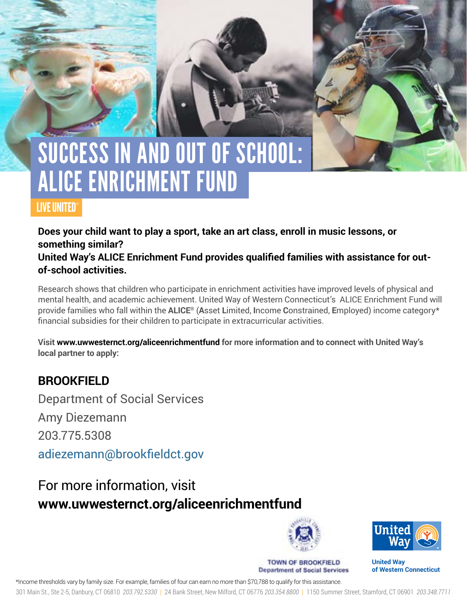# SUCCESS IN AND OUT OF SCHOOL: ALICE ENRICHMENT FUND

### LIVE UNITED®

**Does your child want to play a sport, take an art class, enroll in music lessons, or something similar?** 

**United Way's ALICE Enrichment Fund provides qualified families with assistance for outof-school activities.** 

Research shows that children who participate in enrichment activities have improved levels of physical and mental health, and academic achievement. United Way of Western Connecticut's ALICE Enrichment Fund will provide families who fall within the **ALICE®** (**A**sset **L**imited, **I**ncome **C**onstrained, **E**mployed) income category\* financial subsidies for their children to participate in extracurricular activities.

**Visit www.uwwesternct.org/aliceenrichmentfund for more information and to connect with United Way's local partner to apply:**

### **BROOKFIELD**

Department of Social Services Amy Diezemann 203.775.5308 adiezemann@brookfieldct.gov

## For more information, visit **www.uwwesternct.org/aliceenrichmentfund**



**TOWN OF BROOKFIELD Department of Social Services** 



**United Way of Western Connecticut** 

\*Income thresholds vary by family size. For example, families of four can earn no more than \$70,788 to qualify for this assistance.

301 Main St., Ste 2-5, Danbury, CT 06810 *203.792.5330* | 24 Bank Street, New Milford, CT 06776 *203.354.8800* | 1150 Summer Street, Stamford, CT 06901 *203.348.7711*